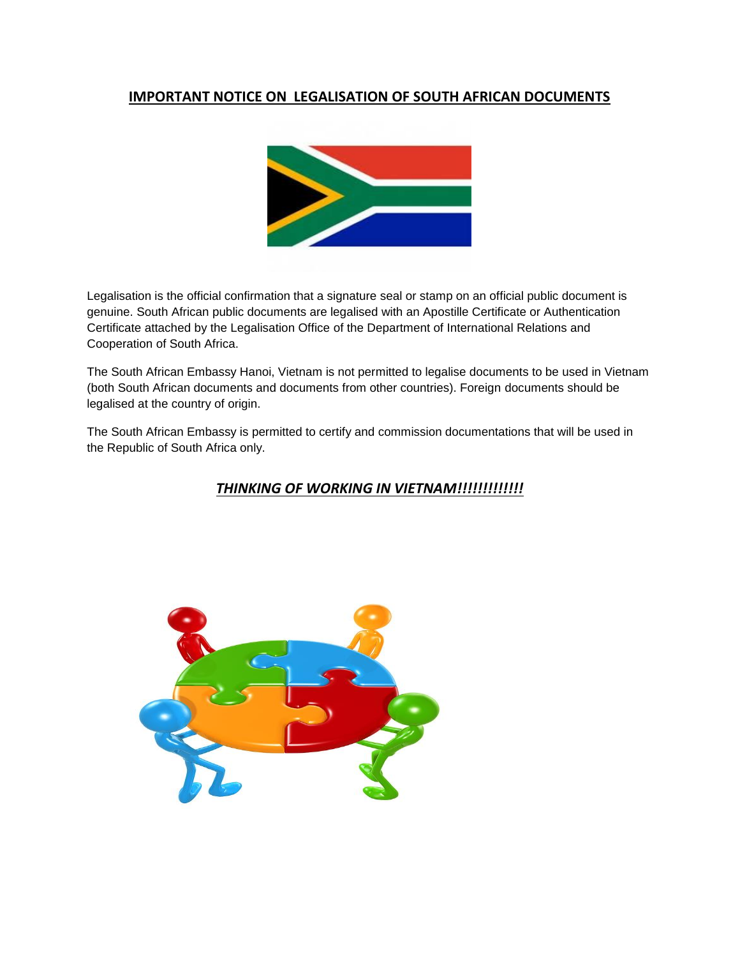# **IMPORTANT NOTICE ON LEGALISATION OF SOUTH AFRICAN DOCUMENTS**



Legalisation is the official confirmation that a signature seal or stamp on an official public document is genuine. South African public documents are legalised with an Apostille Certificate or Authentication Certificate attached by the Legalisation Office of the Department of International Relations and Cooperation of South Africa.

The South African Embassy Hanoi, Vietnam is not permitted to legalise documents to be used in Vietnam (both South African documents and documents from other countries). Foreign documents should be legalised at the country of origin.

The South African Embassy is permitted to certify and commission documentations that will be used in the Republic of South Africa only.

# *THINKING OF WORKING IN VIETNAM!!!!!!!!!!!!!*